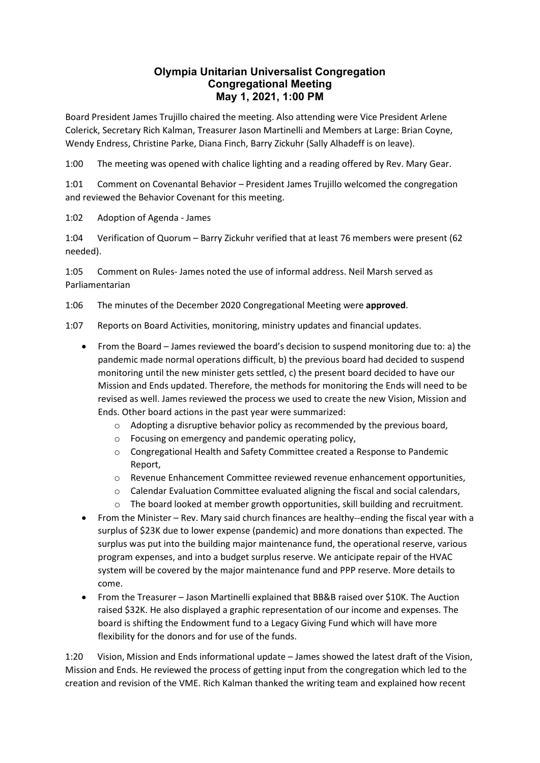## **Olympia Unitarian Universalist Congregation Congregational Meeting May 1, 2021, 1:00 PM**

Board President James Trujillo chaired the meeting. Also attending were Vice President Arlene Colerick, Secretary Rich Kalman, Treasurer Jason Martinelli and Members at Large: Brian Coyne, Wendy Endress, Christine Parke, Diana Finch, Barry Zickuhr (Sally Alhadeff is on leave).

1:00 The meeting was opened with chalice lighting and a reading offered by Rev. Mary Gear.

1:01 Comment on Covenantal Behavior – President James Trujillo welcomed the congregation and reviewed the Behavior Covenant for this meeting.

1:02 Adoption of Agenda - James

1:04 Verification of Quorum – Barry Zickuhr verified that at least 76 members were present (62 needed).

1:05 Comment on Rules- James noted the use of informal address. Neil Marsh served as Parliamentarian

1:06 The minutes of the December 2020 Congregational Meeting were **approved**.

- 1:07 Reports on Board Activities, monitoring, ministry updates and financial updates.
	- From the Board James reviewed the board's decision to suspend monitoring due to: a) the pandemic made normal operations difficult, b) the previous board had decided to suspend monitoring until the new minister gets settled, c) the present board decided to have our Mission and Ends updated. Therefore, the methods for monitoring the Ends will need to be revised as well. James reviewed the process we used to create the new Vision, Mission and Ends. Other board actions in the past year were summarized:
		- o Adopting a disruptive behavior policy as recommended by the previous board,
		- o Focusing on emergency and pandemic operating policy,
		- o Congregational Health and Safety Committee created a Response to Pandemic Report,
		- o Revenue Enhancement Committee reviewed revenue enhancement opportunities,
		- $\circ$  Calendar Evaluation Committee evaluated aligning the fiscal and social calendars,
		- $\circ$  The board looked at member growth opportunities, skill building and recruitment.
	- From the Minister Rev. Mary said church finances are healthy--ending the fiscal year with a surplus of \$23K due to lower expense (pandemic) and more donations than expected. The surplus was put into the building major maintenance fund, the operational reserve, various program expenses, and into a budget surplus reserve. We anticipate repair of the HVAC system will be covered by the major maintenance fund and PPP reserve. More details to come.
	- From the Treasurer Jason Martinelli explained that BB&B raised over \$10K. The Auction raised \$32K. He also displayed a graphic representation of our income and expenses. The board is shifting the Endowment fund to a Legacy Giving Fund which will have more flexibility for the donors and for use of the funds.

1:20 Vision, Mission and Ends informational update – James showed the latest draft of the Vision, Mission and Ends. He reviewed the process of getting input from the congregation which led to the creation and revision of the VME. Rich Kalman thanked the writing team and explained how recent